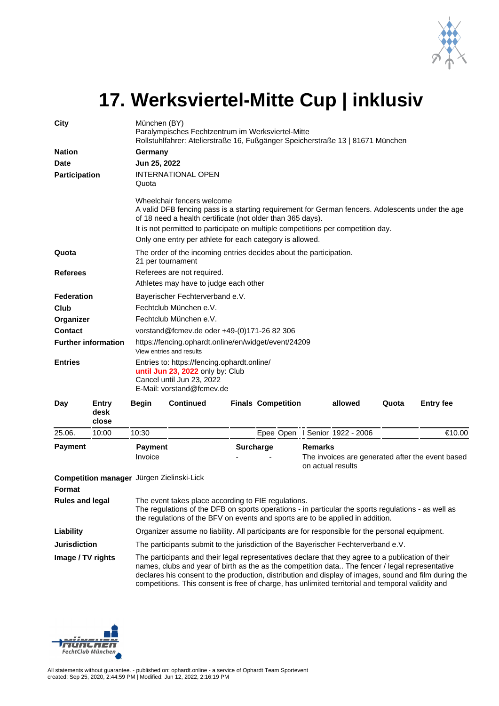

## **17. Werksviertel-Mitte Cup | inklusiv**

| City                         |                                           | München (BY)<br>Paralympisches Fechtzentrum im Werksviertel-Mitte<br>Rollstuhlfahrer: Atelierstraße 16, Fußgänger Speicherstraße 13   81671 München                                                                                          |                                                                                                                                                                                                                                                                                                                                              |  |                           |  |                                                                                         |       |                  |  |
|------------------------------|-------------------------------------------|----------------------------------------------------------------------------------------------------------------------------------------------------------------------------------------------------------------------------------------------|----------------------------------------------------------------------------------------------------------------------------------------------------------------------------------------------------------------------------------------------------------------------------------------------------------------------------------------------|--|---------------------------|--|-----------------------------------------------------------------------------------------|-------|------------------|--|
| <b>Nation</b><br><b>Date</b> |                                           | Germany                                                                                                                                                                                                                                      |                                                                                                                                                                                                                                                                                                                                              |  |                           |  |                                                                                         |       |                  |  |
|                              |                                           | Jun 25, 2022                                                                                                                                                                                                                                 |                                                                                                                                                                                                                                                                                                                                              |  |                           |  |                                                                                         |       |                  |  |
| Participation                |                                           | <b>INTERNATIONAL OPEN</b><br>Quota                                                                                                                                                                                                           |                                                                                                                                                                                                                                                                                                                                              |  |                           |  |                                                                                         |       |                  |  |
|                              |                                           |                                                                                                                                                                                                                                              | Wheelchair fencers welcome<br>A valid DFB fencing pass is a starting requirement for German fencers. Adolescents under the age<br>of 18 need a health certificate (not older than 365 days).<br>It is not permitted to participate on multiple competitions per competition day.<br>Only one entry per athlete for each category is allowed. |  |                           |  |                                                                                         |       |                  |  |
| Quota                        |                                           | The order of the incoming entries decides about the participation.<br>21 per tournament                                                                                                                                                      |                                                                                                                                                                                                                                                                                                                                              |  |                           |  |                                                                                         |       |                  |  |
| <b>Referees</b>              |                                           | Referees are not required.<br>Athletes may have to judge each other                                                                                                                                                                          |                                                                                                                                                                                                                                                                                                                                              |  |                           |  |                                                                                         |       |                  |  |
| <b>Federation</b>            |                                           | Bayerischer Fechterverband e.V.                                                                                                                                                                                                              |                                                                                                                                                                                                                                                                                                                                              |  |                           |  |                                                                                         |       |                  |  |
| Club                         |                                           | Fechtclub München e.V.                                                                                                                                                                                                                       |                                                                                                                                                                                                                                                                                                                                              |  |                           |  |                                                                                         |       |                  |  |
| Organizer                    |                                           | Fechtclub München e.V.                                                                                                                                                                                                                       |                                                                                                                                                                                                                                                                                                                                              |  |                           |  |                                                                                         |       |                  |  |
| <b>Contact</b>               |                                           | vorstand@fcmev.de oder +49-(0)171-26 82 306                                                                                                                                                                                                  |                                                                                                                                                                                                                                                                                                                                              |  |                           |  |                                                                                         |       |                  |  |
| <b>Further information</b>   |                                           | https://fencing.ophardt.online/en/widget/event/24209<br>View entries and results                                                                                                                                                             |                                                                                                                                                                                                                                                                                                                                              |  |                           |  |                                                                                         |       |                  |  |
| <b>Entries</b>               |                                           | Entries to: https://fencing.ophardt.online/<br>until Jun 23, 2022 only by: Club<br>Cancel until Jun 23, 2022<br>E-Mail: vorstand@fcmev.de                                                                                                    |                                                                                                                                                                                                                                                                                                                                              |  |                           |  |                                                                                         |       |                  |  |
| Day                          | Entry<br>desk<br>close                    | <b>Begin</b>                                                                                                                                                                                                                                 | <b>Continued</b>                                                                                                                                                                                                                                                                                                                             |  | <b>Finals Competition</b> |  | allowed                                                                                 | Quota | <b>Entry fee</b> |  |
| 25.06.                       | 10:00                                     | 10:30                                                                                                                                                                                                                                        |                                                                                                                                                                                                                                                                                                                                              |  |                           |  | Epee Open I Senior 1922 - 2006                                                          |       | €10.00           |  |
| <b>Payment</b>               |                                           | <b>Payment</b><br>Invoice                                                                                                                                                                                                                    |                                                                                                                                                                                                                                                                                                                                              |  | <b>Surcharge</b>          |  | <b>Remarks</b><br>The invoices are generated after the event based<br>on actual results |       |                  |  |
| Format                       | Competition manager Jürgen Zielinski-Lick |                                                                                                                                                                                                                                              |                                                                                                                                                                                                                                                                                                                                              |  |                           |  |                                                                                         |       |                  |  |
| <b>Rules and legal</b>       |                                           | The event takes place according to FIE regulations.<br>The regulations of the DFB on sports operations - in particular the sports regulations - as well as<br>the regulations of the BFV on events and sports are to be applied in addition. |                                                                                                                                                                                                                                                                                                                                              |  |                           |  |                                                                                         |       |                  |  |
| Liability                    |                                           | Organizer assume no liability. All participants are for responsible for the personal equipment.                                                                                                                                              |                                                                                                                                                                                                                                                                                                                                              |  |                           |  |                                                                                         |       |                  |  |
| <b>Jurisdiction</b>          |                                           | The participants submit to the jurisdiction of the Bayerischer Fechterverband e.V.                                                                                                                                                           |                                                                                                                                                                                                                                                                                                                                              |  |                           |  |                                                                                         |       |                  |  |

**Image / TV rights** The participants and their legal representatives declare that they agree to a publication of their names, clubs and year of birth as the as the competition data.. The fencer / legal representative declares his consent to the production, distribution and display of images, sound and film during the competitions. This consent is free of charge, has unlimited territorial and temporal validity and